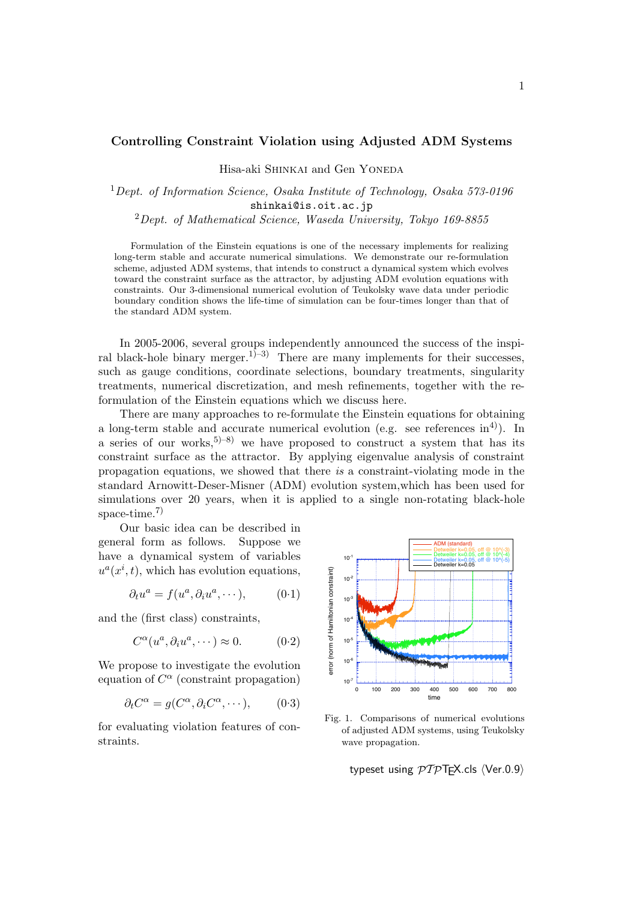## **Controlling Constraint Violation using Adjusted ADM Systems**

Hisa-aki SHINKAI and Gen YONEDA

## <sup>1</sup>*Dept. of Information Science, Osaka Institute of Technology, Osaka 573-0196* shinkai@is.oit.ac.jp

<sup>2</sup>*Dept. of Mathematical Science, Waseda University, Tokyo 169-8855*

Formulation of the Einstein equations is one of the necessary implements for realizing long-term stable and accurate numerical simulations. We demonstrate our re-formulation scheme, adjusted ADM systems, that intends to construct a dynamical system which evolves toward the constraint surface as the attractor, by adjusting ADM evolution equations with constraints. Our 3-dimensional numerical evolution of Teukolsky wave data under periodic boundary condition shows the life-time of simulation can be four-times longer than that of the standard ADM system.

In 2005-2006, several groups independently announced the success of the inspiral black-hole binary merger.<sup>1)–3)</sup> There are many implements for their successes, such as gauge conditions, coordinate selections, boundary treatments, singularity treatments, numerical discretization, and mesh refinements, together with the reformulation of the Einstein equations which we discuss here.

There are many approaches to re-formulate the Einstein equations for obtaining a long-term stable and accurate numerical evolution (e.g. see references in<sup>4)</sup>). In a series of our works,  $5^{5-8}$  we have proposed to construct a system that has its constraint surface as the attractor. By applying eigenvalue analysis of constraint propagation equations, we showed that there *is* a constraint-violating mode in the standard Arnowitt-Deser-Misner (ADM) evolution system,which has been used for simulations over 20 years, when it is applied to a single non-rotating black-hole space-time.<sup>7)</sup>

Our basic idea can be described in general form as follows. Suppose we have a dynamical system of variables  $u^a(x^i, t)$ , which has evolution equations,

$$
\partial_t u^a = f(u^a, \partial_i u^a, \cdots), \qquad (0.1)
$$

and the (first class) constraints,

$$
C^{\alpha}(u^a, \partial_i u^a, \cdots) \approx 0. \qquad (0.2)
$$

We propose to investigate the evolution equation of *C <sup>α</sup>* (constraint propagation)

$$
\partial_t C^{\alpha} = g(C^{\alpha}, \partial_i C^{\alpha}, \cdots), \qquad (0.3)
$$

for evaluating violation features of constraints.



Fig. 1. Comparisons of numerical evolutions of adjusted ADM systems, using Teukolsky wave propagation.

typeset using  $\mathcal{PTP}$ T<sub>F</sub>X.cls  $\langle$ Ver.0.9 $\rangle$